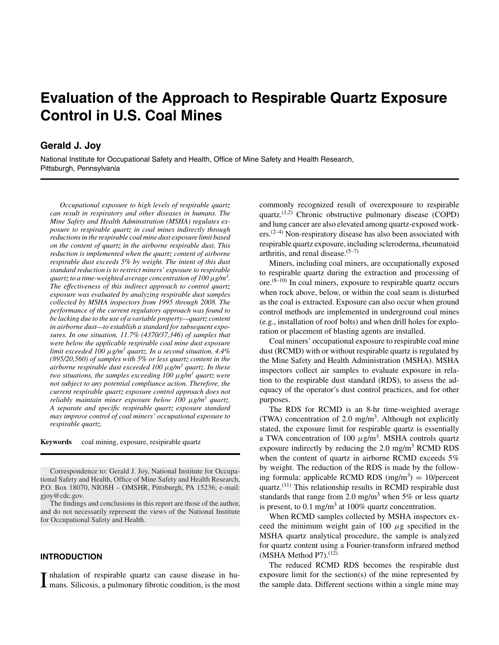# **Evaluation of the Approach to Respirable Quartz Exposure Control in U.S. Coal Mines**

## **Gerald J. Joy**

National Institute for Occupational Safety and Health, Office of Mine Safety and Health Research, Pittsburgh, Pennsylvania

*Occupational exposure to high levels of respirable quartz can result in respiratory and other diseases in humans. The Mine Safety and Health Adminstration (MSHA) regulates exposure to respirable quartz in coal mines indirectly through reductions in the respirable coal mine dust exposure limit based on the content of quartz in the airborne respirable dust. This reduction is implemented when the quartz content of airborne respirable dust exceeds 5% by weight. The intent of this dust standard reduction is to restrict miners' exposure to respirable quartz to a time-weighted average concentration of 100 µg/m3 . The effectiveness of this indirect approach to control quartz exposure was evaluated by analyzing respirable dust samples collected by MSHA inspectors from 1995 through 2008. The performance of the current regulatory approach was found to be lacking due to the use of a variable property—quartz content in airborne dust—to establish a standard for subsequent exposures. In one situation, 11.7% (4370/37,346) of samples that were below the applicable respirable coal mine dust exposure limit exceeded 100 µg/m3 quartz. In a second situation, 4.4% (895/20,560) of samples with 5% or less quartz content in the airborne respirable dust exceeded 100 µg/m3 quartz. In these two situations, the samples exceeding*  $100 \mu g/m^3$  *quartz were not subject to any potential compliance action. Therefore, the current respirable quartz exposure control approach does not reliably maintain miner exposure below 100*  $\mu$ *g/m<sup>3</sup> quartz. A separate and specific respirable quartz exposure standard may improve control of coal miners' occupational exposure to respirable quartz.* 

**Keywords** coal mining, exposure, resipirable quartz

Correspondence to: Gerald J. Joy, National Institute for Occupational Safety and Health, Office of Mine Safety and Health Research, P.O. Box 18070, NIOSH – OMSHR, Pittsburgh, PA 15236; e-mail: gjoy@cdc.gov.

The findings and conclusions in this report are those of the author, and do not necessarily represent the views of the National Institute for Occupational Safety and Health.

#### **INTRODUCTION**

Inhalation of respirable quartz can cause disease in hu-<br>Imans. Silicosis, a pulmonary fibrotic condition, is the most nhalation of respirable quartz can cause disease in hucommonly recognized result of overexposure to respirable quartz.(1,2) Chronic obstructive pulmonary disease (COPD) and lung cancer are also elevated among quartz-exposed work $ers.$ <sup>(2–4)</sup> Non-respiratory disease has also been associated with respirable quartz exposure, including scleroderma, rheumatoid arthritis, and renal disease. $(5-7)$ 

Miners, including coal miners, are occupationally exposed to respirable quartz during the extraction and processing of ore.(8–10) In coal miners, exposure to respirable quartz occurs when rock above, below, or within the coal seam is disturbed as the coal is extracted. Exposure can also occur when ground control methods are implemented in underground coal mines (e.g., installation of roof bolts) and when drill holes for exploration or placement of blasting agents are installed.

Coal miners' occupational exposure to respirable coal mine dust (RCMD) with or without respirable quartz is regulated by the Mine Safety and Health Administration (MSHA). MSHA inspectors collect air samples to evaluate exposure in relation to the respirable dust standard (RDS), to assess the adequacy of the operator's dust control practices, and for other purposes.

The RDS for RCMD is an 8-hr time-weighted average (TWA) concentration of 2.0 mg/m<sup>3</sup>. Although not explicitly stated, the exposure limit for respirable quartz is essentially a TWA concentration of  $100 \mu g/m<sup>3</sup>$ . MSHA controls quartz exposure indirectly by reducing the  $2.0 \text{ mg/m}^3$  RCMD RDS when the content of quartz in airborne RCMD exceeds 5% by weight. The reduction of the RDS is made by the following formula: applicable RCMD RDS  $(mg/m^3) = 10$ /percent quartz. $(11)$  This relationship results in RCMD respirable dust standards that range from 2.0 mg/m<sup>3</sup> when 5% or less quartz is present, to  $0.1 \text{ mg/m}^3$  at  $100\%$  quartz concentration.

When RCMD samples collected by MSHA inspectors exceed the minimum weight gain of 100 *µ*g specified in the MSHA quartz analytical procedure, the sample is analyzed for quartz content using a Fourier-transform infrared method  $(MSHA Method P7).<sup>(12)</sup>$ 

The reduced RCMD RDS becomes the respirable dust exposure limit for the section(s) of the mine represented by the sample data. Different sections within a single mine may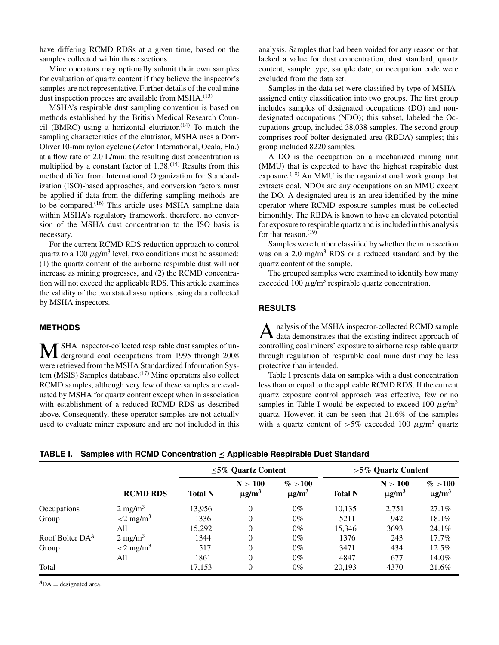have differing RCMD RDSs at a given time, based on the samples collected within those sections.

Mine operators may optionally submit their own samples for evaluation of quartz content if they believe the inspector's samples are not representative. Further details of the coal mine dust inspection process are available from  $MSHA$ .<sup> $(13)$ </sup>

MSHA's respirable dust sampling convention is based on methods established by the British Medical Research Council (BMRC) using a horizontal elutriator.<sup> $(14)$ </sup> To match the sampling characteristics of the elutriator, MSHA uses a Dorr-Oliver 10-mm nylon cyclone (Zefon International, Ocala, Fla.) at a flow rate of 2.0 L/min; the resulting dust concentration is multiplied by a constant factor of  $1.38^{(15)}$  Results from this method differ from International Organization for Standardization (ISO)-based approaches, and conversion factors must be applied if data from the differing sampling methods are to be compared. $(16)$  This article uses MSHA sampling data within MSHA's regulatory framework; therefore, no conversion of the MSHA dust concentration to the ISO basis is necessary.

For the current RCMD RDS reduction approach to control quartz to a 100  $\mu$ g/m<sup>3</sup> level, two conditions must be assumed: (1) the quartz content of the airborne respirable dust will not increase as mining progresses, and (2) the RCMD concentration will not exceed the applicable RDS. This article examines the validity of the two stated assumptions using data collected by MSHA inspectors.

## **METHODS**

MSHA inspector-collected respirable dust samples of un-derground coal occupations from 1995 through 2008 were retrieved from the MSHA Standardized Information System (MSIS) Samples database.<sup>(17)</sup> Mine operators also collect RCMD samples, although very few of these samples are evaluated by MSHA for quartz content except when in association with establishment of a reduced RCMD RDS as described above. Consequently, these operator samples are not actually used to evaluate miner exposure and are not included in this

analysis. Samples that had been voided for any reason or that lacked a value for dust concentration, dust standard, quartz content, sample type, sample date, or occupation code were excluded from the data set.

Samples in the data set were classified by type of MSHAassigned entity classification into two groups. The first group includes samples of designated occupations (DO) and nondesignated occupations (NDO); this subset, labeled the Occupations group, included 38,038 samples. The second group comprises roof bolter-designated area (RBDA) samples; this group included 8220 samples.

A DO is the occupation on a mechanized mining unit (MMU) that is expected to have the highest respirable dust exposure.<sup> $(18)$ </sup> An MMU is the organizational work group that extracts coal. NDOs are any occupations on an MMU except the DO. A designated area is an area identified by the mine operator where RCMD exposure samples must be collected bimonthly. The RBDA is known to have an elevated potential for exposure to respirable quartz and is included in this analysis for that reason.<sup>(19)</sup>

Samples were further classified by whether the mine section was on a 2.0 mg/m<sup>3</sup> RDS or a reduced standard and by the quartz content of the sample.

The grouped samples were examined to identify how many exceeded 100  $\mu$ g/m<sup>3</sup> respirable quartz concentration.

#### **RESULTS**

A nalysis of the MSHA inspector-collected RCMD sample data demonstrates that the existing indirect approach of controlling coal miners' exposure to airborne respirable quartz through regulation of respirable coal mine dust may be less protective than intended.

Table I presents data on samples with a dust concentration less than or equal to the applicable RCMD RDS. If the current quartz exposure control approach was effective, few or no samples in Table I would be expected to exceed 100  $\mu$ g/m<sup>3</sup> quartz. However, it can be seen that 21.6% of the samples with a quartz content of  $>5\%$  exceeded 100  $\mu$ g/m<sup>3</sup> quartz

| TABLE I. Samples with RCMD Concentration $\leq$ Applicable Respirable Dust Standard |  |
|-------------------------------------------------------------------------------------|--|
|-------------------------------------------------------------------------------------|--|

|                   | <b>RCMD RDS</b>         | $\leq$ 5% Quartz Content |                                   |                                      | $>5\%$ Quartz Content |                                   |                                      |
|-------------------|-------------------------|--------------------------|-----------------------------------|--------------------------------------|-----------------------|-----------------------------------|--------------------------------------|
|                   |                         | <b>Total N</b>           | N > 100<br>$\mu$ g/m <sup>3</sup> | $\% > 100$<br>$\mu$ g/m <sup>3</sup> | <b>Total N</b>        | N > 100<br>$\mu$ g/m <sup>3</sup> | $\% > 100$<br>$\mu$ g/m <sup>3</sup> |
| Occupations       | $2 \text{ mg/m}^3$      | 13,956                   | $\Omega$                          | $0\%$                                | 10,135                | 2,751                             | 27.1%                                |
| Group             | $<$ 2 mg/m <sup>3</sup> | 1336                     | $\Omega$                          | $0\%$                                | 5211                  | 942                               | 18.1%                                |
|                   | All                     | 15,292                   | $\Omega$                          | $0\%$                                | 15,346                | 3693                              | 24.1%                                |
| Roof Bolter $DAA$ | $2 \text{ mg/m}^3$      | 1344                     | $\Omega$                          | $0\%$                                | 1376                  | 243                               | 17.7%                                |
| Group             | $<$ 2 mg/m <sup>3</sup> | 517                      | $\Omega$                          | $0\%$                                | 3471                  | 434                               | 12.5%                                |
|                   | All                     | 1861                     | $\theta$                          | $0\%$                                | 4847                  | 677                               | 14.0%                                |
| Total             |                         | 17,153                   | $\theta$                          | $0\%$                                | 20,193                | 4370                              | 21.6%                                |

 ${}^{A}DA$  = designated area.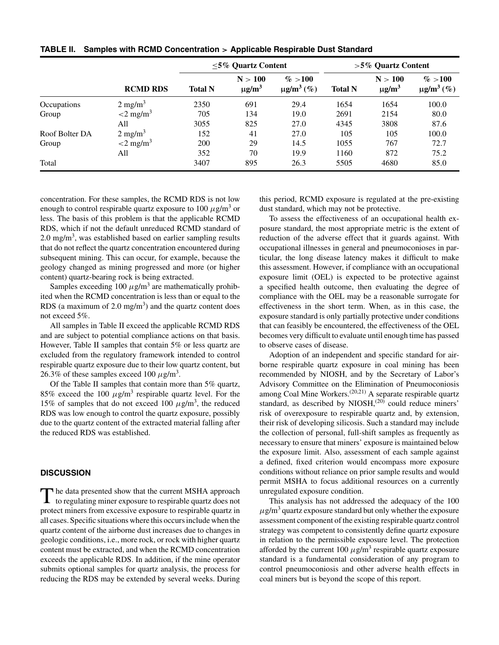|                    | <b>RCMD RDS</b>         | $\leq$ 5% Quartz Content |                                   |                                          | >5% Quartz Content |                                   |                                          |
|--------------------|-------------------------|--------------------------|-----------------------------------|------------------------------------------|--------------------|-----------------------------------|------------------------------------------|
|                    |                         | <b>Total N</b>           | N > 100<br>$\mu$ g/m <sup>3</sup> | $\% > 100$<br>$\mu$ g/m <sup>3</sup> (%) | <b>Total N</b>     | N > 100<br>$\mu$ g/m <sup>3</sup> | $\% > 100$<br>$\mu$ g/m <sup>3</sup> (%) |
| <b>Occupations</b> | $2 \text{ mg/m}^3$      | 2350                     | 691                               | 29.4                                     | 1654               | 1654                              | 100.0                                    |
| Group              | $<$ 2 mg/m <sup>3</sup> | 705                      | 134                               | 19.0                                     | 2691               | 2154                              | 80.0                                     |
|                    | All                     | 3055                     | 825                               | 27.0                                     | 4345               | 3808                              | 87.6                                     |
| Roof Bolter DA     | $2 \text{ mg/m}^3$      | 152                      | 41                                | 27.0                                     | 105                | 105                               | 100.0                                    |
| Group              | $<$ 2 mg/m <sup>3</sup> | 200                      | 29                                | 14.5                                     | 1055               | 767                               | 72.7                                     |
|                    | All                     | 352                      | 70                                | 19.9                                     | 1160               | 872                               | 75.2                                     |
| Total              |                         | 3407                     | 895                               | 26.3                                     | 5505               | 4680                              | 85.0                                     |

**TABLE II. Samples with RCMD Concentration** *>* **Applicable Respirable Dust Standard**

concentration. For these samples, the RCMD RDS is not low enough to control respirable quartz exposure to  $100 \mu g/m^3$  or less. The basis of this problem is that the applicable RCMD RDS, which if not the default unreduced RCMD standard of  $2.0 \text{ mg/m}^3$ , was established based on earlier sampling results that do not reflect the quartz concentration encountered during subsequent mining. This can occur, for example, because the geology changed as mining progressed and more (or higher content) quartz-bearing rock is being extracted.

Samples exceeding  $100 \mu g/m^3$  are mathematically prohibited when the RCMD concentration is less than or equal to the RDS (a maximum of  $2.0 \text{ mg/m}^3$ ) and the quartz content does not exceed 5%.

All samples in Table II exceed the applicable RCMD RDS and are subject to potential compliance actions on that basis. However, Table II samples that contain 5% or less quartz are excluded from the regulatory framework intended to control respirable quartz exposure due to their low quartz content, but 26.3% of these samples exceed  $100 \mu g/m^3$ .

Of the Table II samples that contain more than 5% quartz, 85% exceed the 100  $\mu$ g/m<sup>3</sup> respirable quartz level. For the 15% of samples that do not exceed 100  $\mu$ g/m<sup>3</sup>, the reduced RDS was low enough to control the quartz exposure, possibly due to the quartz content of the extracted material falling after the reduced RDS was established.

#### **DISCUSSION**

The data presented show that the current MSHA approach to regulating miner exposure to respirable quartz does not protect miners from excessive exposure to respirable quartz in all cases. Specific situations where this occurs include when the quartz content of the airborne dust increases due to changes in geologic conditions, i.e., more rock, or rock with higher quartz content must be extracted, and when the RCMD concentration exceeds the applicable RDS. In addition, if the mine operator submits optional samples for quartz analysis, the process for reducing the RDS may be extended by several weeks. During

this period, RCMD exposure is regulated at the pre-existing dust standard, which may not be protective.

To assess the effectiveness of an occupational health exposure standard, the most appropriate metric is the extent of reduction of the adverse effect that it guards against. With occupational illnesses in general and pneumoconioses in particular, the long disease latency makes it difficult to make this assessment. However, if compliance with an occupational exposure limit (OEL) is expected to be protective against a specified health outcome, then evaluating the degree of compliance with the OEL may be a reasonable surrogate for effectiveness in the short term. When, as in this case, the exposure standard is only partially protective under conditions that can feasibly be encountered, the effectiveness of the OEL becomes very difficult to evaluate until enough time has passed to observe cases of disease.

Adoption of an independent and specific standard for airborne respirable quartz exposure in coal mining has been recommended by NIOSH, and by the Secretary of Labor's Advisory Committee on the Elimination of Pneumoconiosis among Coal Mine Workers.(20,21) A separate respirable quartz standard, as described by  $NIOSH<sub>1</sub><sup>(20)</sup>$  could reduce miners' risk of overexposure to respirable quartz and, by extension, their risk of developing silicosis. Such a standard may include the collection of personal, full-shift samples as frequently as necessary to ensure that miners' exposure is maintained below the exposure limit. Also, assessment of each sample against a defined, fixed criterion would encompass more exposure conditions without reliance on prior sample results and would permit MSHA to focus additional resources on a currently unregulated exposure condition.

This analysis has not addressed the adequacy of the 100  $\mu$ g/m<sup>3</sup> quartz exposure standard but only whether the exposure assessment component of the existing respirable quartz control strategy was competent to consistently define quartz exposure in relation to the permissible exposure level. The protection afforded by the current  $100 \mu g/m^3$  respirable quartz exposure standard is a fundamental consideration of any program to control pneumoconiosis and other adverse health effects in coal miners but is beyond the scope of this report.